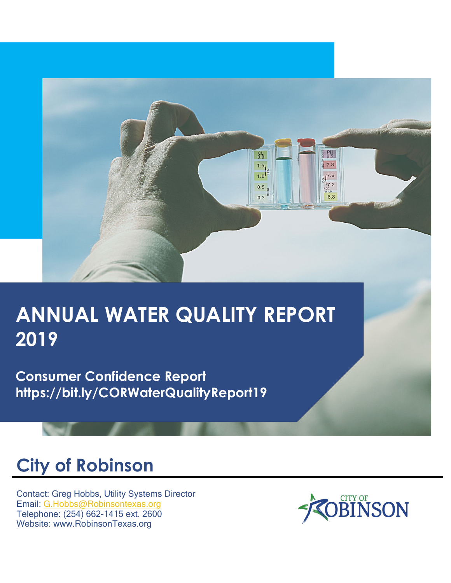

# **ANNUAL WATER QUALITY REPORT 2019**

**Consumer Confidence Report https://bit.ly/CORWaterQualityReport19**

# **City of Robinson**

Contact: Greg Hobbs, Utility Systems Director Email: [G.Hobbs@Robinsontexas.org](mailto:G.Hobbs@Robinsontexas.org) Telephone: (254) 662-1415 ext. 2600 Website: www.RobinsonTexas.org

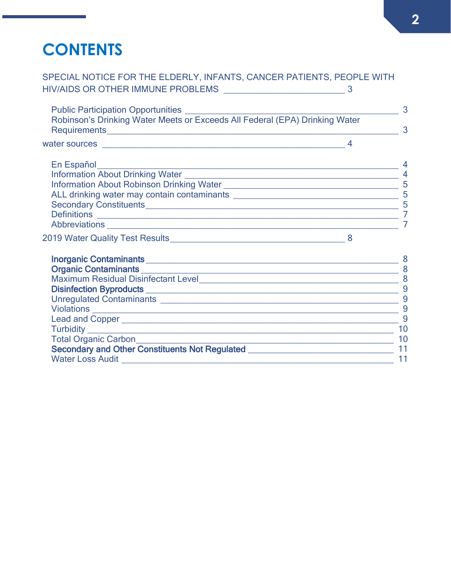## **CONTENTS**

[SPECIAL NOTICE FOR THE ELDERLY, INFANTS, CANCER PATIENTS, PEOPLE WITH](#page-2-0)  [HIV/AIDS OR OTHER IMMUNE PROBLEMS](#page-2-0) \_\_\_\_\_\_\_\_\_\_\_\_\_\_\_\_\_\_\_\_\_\_\_\_\_ 3

| Public Participation Opportunities<br>Robinson's Drinking Water Meets or Exceeds All Federal (EPA) Drinking Water     |      | 3<br>$\overline{3}$ |
|-----------------------------------------------------------------------------------------------------------------------|------|---------------------|
| water sources <b>water</b> sources                                                                                    |      |                     |
| En Español <b>eco de la contrata de la contrata de la contrata de la contrata de la contrata de la contrata de la</b> |      | $\overline{4}$      |
|                                                                                                                       |      |                     |
|                                                                                                                       |      | 5                   |
|                                                                                                                       |      |                     |
|                                                                                                                       | $-5$ |                     |
|                                                                                                                       |      |                     |
|                                                                                                                       |      |                     |
|                                                                                                                       |      |                     |
|                                                                                                                       |      | 8                   |

| <u>inonganic Contaminants and a contact of the contact of the contact of the contact of the contact of the contact of the contact of the contact of the contact of the contact of the contact of the contact of the contact of t</u> |     |
|--------------------------------------------------------------------------------------------------------------------------------------------------------------------------------------------------------------------------------------|-----|
| <b>Organic Contaminants</b>                                                                                                                                                                                                          | 8   |
| <b>Maximum Residual Disinfectant Level</b>                                                                                                                                                                                           | - 8 |
| Disinfection Byproducts <b>Districts</b>                                                                                                                                                                                             | -9  |
| Unregulated Contaminants <b>Exercise 2018</b>                                                                                                                                                                                        | -9  |
| Violations _________________                                                                                                                                                                                                         | -9  |
|                                                                                                                                                                                                                                      | -9  |
| Turbidity ________                                                                                                                                                                                                                   | 10  |
| <b>Total Organic Carbon</b>                                                                                                                                                                                                          | 10  |
| <b>Secondary and Other Constituents Not Regulated</b>                                                                                                                                                                                | 11  |
| <b>Water Loss Audit</b>                                                                                                                                                                                                              |     |
|                                                                                                                                                                                                                                      |     |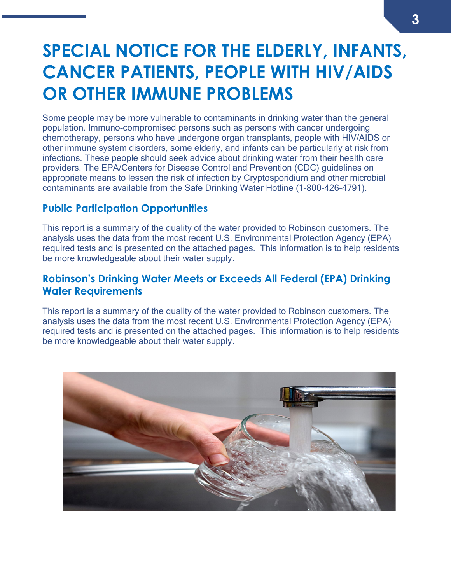## <span id="page-2-0"></span>**SPECIAL NOTICE FOR THE ELDERLY, INFANTS, CANCER PATIENTS, PEOPLE WITH HIV/AIDS OR OTHER IMMUNE PROBLEMS**

Some people may be more vulnerable to contaminants in drinking water than the general population. Immuno-compromised persons such as persons with cancer undergoing chemotherapy, persons who have undergone organ transplants, people with HIV/AIDS or other immune system disorders, some elderly, and infants can be particularly at risk from infections. These people should seek advice about drinking water from their health care providers. The EPA/Centers for Disease Control and Prevention (CDC) guidelines on appropriate means to lessen the risk of infection by Cryptosporidium and other microbial contaminants are available from the Safe Drinking Water Hotline (1-800-426-4791).

## <span id="page-2-1"></span>**Public Participation Opportunities**

This report is a summary of the quality of the water provided to Robinson customers. The analysis uses the data from the most recent U.S. Environmental Protection Agency (EPA) required tests and is presented on the attached pages. This information is to help residents be more knowledgeable about their water supply.

## <span id="page-2-2"></span>**Robinson's Drinking Water Meets or Exceeds All Federal (EPA) Drinking Water Requirements**

This report is a summary of the quality of the water provided to Robinson customers. The analysis uses the data from the most recent U.S. Environmental Protection Agency (EPA) required tests and is presented on the attached pages. This information is to help residents be more knowledgeable about their water supply.

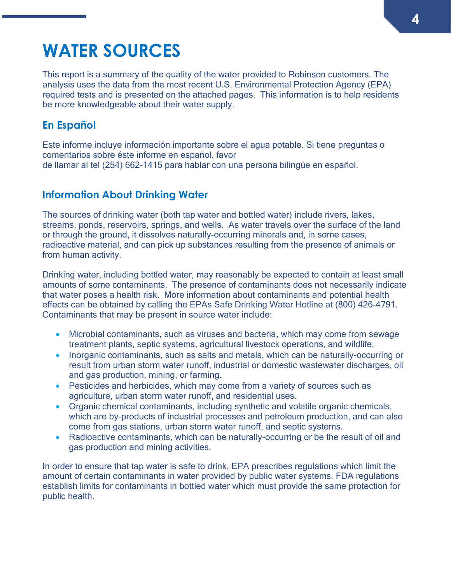## <span id="page-3-0"></span>**WATER SOURCES**

This report is a summary of the quality of the water provided to Robinson customers. The analysis uses the data from the most recent U.S. Environmental Protection Agency (EPA) required tests and is presented on the attached pages. This information is to help residents be more knowledgeable about their water supply.

## <span id="page-3-1"></span>**En Español**

Este informe incluye información importante sobre el agua potable. Si tiene preguntas o comentarios sobre éste informe en español, favor de llamar al tel (254) 662-1415 para hablar con una persona bilingüe en español.

## <span id="page-3-2"></span>**Information About Drinking Water**

The sources of drinking water (both tap water and bottled water) include rivers, lakes, streams, ponds, reservoirs, springs, and wells. As water travels over the surface of the land or through the ground, it dissolves naturally-occurring minerals and, in some cases, radioactive material, and can pick up substances resulting from the presence of animals or from human activity.

Drinking water, including bottled water, may reasonably be expected to contain at least small amounts of some contaminants. The presence of contaminants does not necessarily indicate that water poses a health risk. More information about contaminants and potential health effects can be obtained by calling the EPAs Safe Drinking Water Hotline at (800) 426-4791. Contaminants that may be present in source water include:

- Microbial contaminants, such as viruses and bacteria, which may come from sewage treatment plants, septic systems, agricultural livestock operations, and wildlife.
- Inorganic contaminants, such as salts and metals, which can be naturally-occurring or result from urban storm water runoff, industrial or domestic wastewater discharges, oil and gas production, mining, or farming.
- Pesticides and herbicides, which may come from a variety of sources such as agriculture, urban storm water runoff, and residential uses.
- Organic chemical contaminants, including synthetic and volatile organic chemicals, which are by-products of industrial processes and petroleum production, and can also come from gas stations, urban storm water runoff, and septic systems.
- Radioactive contaminants, which can be naturally-occurring or be the result of oil and gas production and mining activities.

In order to ensure that tap water is safe to drink, EPA prescribes regulations which limit the amount of certain contaminants in water provided by public water systems. FDA regulations establish limits for contaminants in bottled water which must provide the same protection for public health.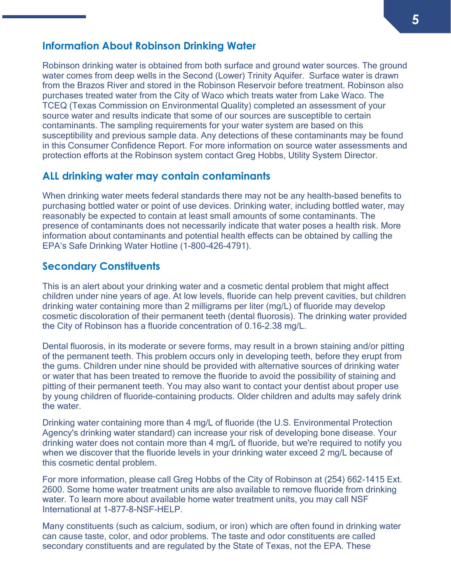### <span id="page-4-0"></span>**Information About Robinson Drinking Water**

Robinson drinking water is obtained from both surface and ground water sources. The ground water comes from deep wells in the Second (Lower) Trinity Aquifer. Surface water is drawn from the Brazos River and stored in the Robinson Reservoir before treatment. Robinson also purchases treated water from the City of Waco which treats water from Lake Waco. The TCEQ (Texas Commission on Environmental Quality) completed an assessment of your source water and results indicate that some of our sources are susceptible to certain contaminants. The sampling requirements for your water system are based on this susceptibility and previous sample data. Any detections of these contaminants may be found in this Consumer Confidence Report. For more information on source water assessments and protection efforts at the Robinson system contact Greg Hobbs, Utility System Director.

### <span id="page-4-1"></span>**ALL drinking water may contain contaminants**

When drinking water meets federal standards there may not be any health-based benefits to purchasing bottled water or point of use devices. Drinking water, including bottled water, may reasonably be expected to contain at least small amounts of some contaminants. The presence of contaminants does not necessarily indicate that water poses a health risk. More information about contaminants and potential health effects can be obtained by calling the EPA's Safe Drinking Water Hotline (1-800-426-4791).

### <span id="page-4-2"></span>**Secondary Constituents**

This is an alert about your drinking water and a cosmetic dental problem that might affect children under nine years of age. At low levels, fluoride can help prevent cavities, but children drinking water containing more than 2 milligrams per liter (mg/L) of fluoride may develop cosmetic discoloration of their permanent teeth (dental fluorosis). The drinking water provided the City of Robinson has a fluoride concentration of 0.16-2.38 mg/L.

Dental fluorosis, in its moderate or severe forms, may result in a brown staining and/or pitting of the permanent teeth. This problem occurs only in developing teeth, before they erupt from the gums. Children under nine should be provided with alternative sources of drinking water or water that has been treated to remove the fluoride to avoid the possibility of staining and pitting of their permanent teeth. You may also want to contact your dentist about proper use by young children of fluoride-containing products. Older children and adults may safely drink the water.

Drinking water containing more than 4 mg/L of fluoride (the U.S. Environmental Protection Agency's drinking water standard) can increase your risk of developing bone disease. Your drinking water does not contain more than 4 mg/L of fluoride, but we're required to notify you when we discover that the fluoride levels in your drinking water exceed 2 mg/L because of this cosmetic dental problem.

For more information, please call Greg Hobbs of the City of Robinson at (254) 662-1415 Ext. 2600. Some home water treatment units are also available to remove fluoride from drinking water. To learn more about available home water treatment units, you may call NSF International at 1-877-8-NSF-HELP.

Many constituents (such as calcium, sodium, or iron) which are often found in drinking water can cause taste, color, and odor problems. The taste and odor constituents are called secondary constituents and are regulated by the State of Texas, not the EPA. These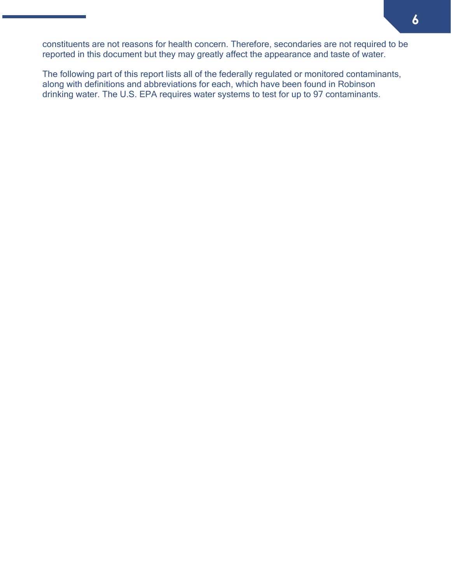constituents are not reasons for health concern. Therefore, secondaries are not required to be reported in this document but they may greatly affect the appearance and taste of water.

The following part of this report lists all of the federally regulated or monitored contaminants, along with definitions and abbreviations for each, which have been found in Robinson drinking water. The U.S. EPA requires water systems to test for up to 97 contaminants.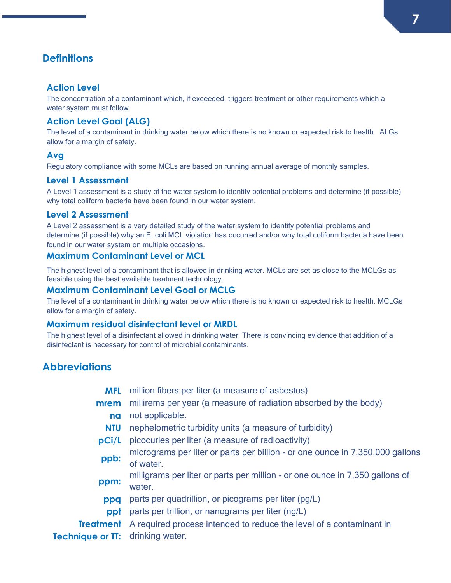## <span id="page-6-0"></span>**Definitions**

#### **Action Level**

The concentration of a contaminant which, if exceeded, triggers treatment or other requirements which a water system must follow.

#### **Action Level Goal (ALG)**

The level of a contaminant in drinking water below which there is no known or expected risk to health. ALGs allow for a margin of safety.

#### **Avg**

Regulatory compliance with some MCLs are based on running annual average of monthly samples.

#### **Level 1 Assessment**

A Level 1 assessment is a study of the water system to identify potential problems and determine (if possible) why total coliform bacteria have been found in our water system.

#### **Level 2 Assessment**

A Level 2 assessment is a very detailed study of the water system to identify potential problems and determine (if possible) why an E. coli MCL violation has occurred and/or why total coliform bacteria have been found in our water system on multiple occasions.

#### **Maximum Contaminant Level or MCL**

The highest level of a contaminant that is allowed in drinking water. MCLs are set as close to the MCLGs as feasible using the best available treatment technology.

#### **Maximum Contaminant Level Goal or MCLG**

The level of a contaminant in drinking water below which there is no known or expected risk to health. MCLGs allow for a margin of safety.

#### **Maximum residual disinfectant level or MRDL**

The highest level of a disinfectant allowed in drinking water. There is convincing evidence that addition of a disinfectant is necessary for control of microbial contaminants.

### <span id="page-6-1"></span>**Abbreviations**

- **MFL** million fibers per liter (a measure of asbestos)
- **mrem** millirems per year (a measure of radiation absorbed by the body) **na** not applicable.
	- **NTU** nephelometric turbidity units (a measure of turbidity)
- **pCi/L** picocuries per liter (a measure of radioactivity)
- **ppb:** micrograms per liter or parts per billion or one ounce in 7,350,000 gallons of water.
- **ppm:** milligrams per liter or parts per million or one ounce in 7,350 gallons of water.
- **ppq** parts per quadrillion, or picograms per liter (pg/L)
- **ppt** parts per trillion, or nanograms per liter (ng/L)
- **Treatment**  A required process intended to reduce the level of a contaminant in

**Technique or TT: drinking water.**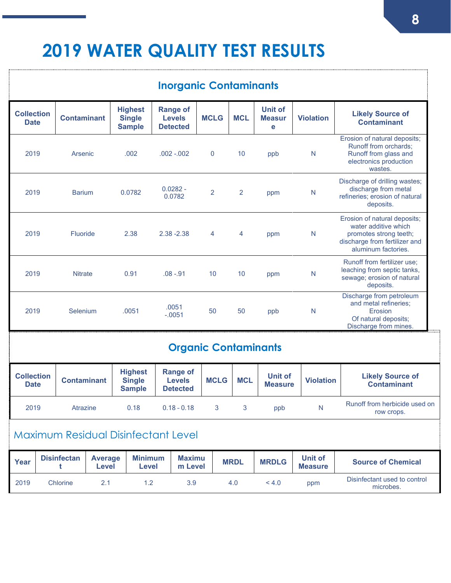## <span id="page-7-1"></span><span id="page-7-0"></span>**2019 WATER QUALITY TEST RESULTS**

<span id="page-7-3"></span><span id="page-7-2"></span>

| <b>Inorganic Contaminants</b>    |                                            |                         |                                |                                                  |                                                  |                                                     |                                                     |                             |             |                                  |                                      |                  |                                                                                                                                        |
|----------------------------------|--------------------------------------------|-------------------------|--------------------------------|--------------------------------------------------|--------------------------------------------------|-----------------------------------------------------|-----------------------------------------------------|-----------------------------|-------------|----------------------------------|--------------------------------------|------------------|----------------------------------------------------------------------------------------------------------------------------------------|
| <b>Collection</b><br><b>Date</b> |                                            | <b>Contaminant</b>      |                                | <b>Highest</b><br><b>Single</b><br><b>Sample</b> |                                                  | <b>Range of</b><br><b>Levels</b><br><b>Detected</b> |                                                     | <b>MCLG</b>                 |             | <b>MCL</b>                       | <b>Unit of</b><br><b>Measur</b><br>е | <b>Violation</b> | <b>Likely Source of</b><br><b>Contaminant</b>                                                                                          |
| 2019                             |                                            | Arsenic                 |                                | .002                                             |                                                  |                                                     | $.002 - .002$                                       | $\mathbf{0}$                |             | 10                               | ppb                                  | N                | Erosion of natural deposits;<br>Runoff from orchards;<br>Runoff from glass and<br>electronics production<br>wastes.                    |
| 2019                             |                                            | <b>Barium</b>           |                                | 0.0782                                           |                                                  | $0.0282 -$<br>0.0782                                |                                                     | $\overline{2}$              |             | $\overline{2}$                   | ppm                                  | $\mathsf{N}$     | Discharge of drilling wastes;<br>discharge from metal<br>refineries; erosion of natural<br>deposits.                                   |
|                                  | 2019<br><b>Fluoride</b>                    |                         |                                |                                                  | 2.38                                             | $2.38 - 2.38$                                       |                                                     | $\overline{4}$              |             | $\overline{4}$                   | ppm                                  | N                | Erosion of natural deposits;<br>water additive which<br>promotes strong teeth;<br>discharge from fertilizer and<br>aluminum factories. |
| 2019                             | <b>Nitrate</b>                             |                         |                                | 0.91                                             |                                                  | $.08 - .91$                                         |                                                     | 10                          |             | 10                               | ppm                                  | N                | Runoff from fertilizer use;<br>leaching from septic tanks,<br>sewage; erosion of natural<br>deposits.                                  |
| 2019                             | Selenium                                   |                         |                                |                                                  | .0051                                            | .0051<br>$-.0051$                                   |                                                     | 50                          |             | 50                               | ppb                                  | N                | Discharge from petroleum<br>and metal refineries;<br>Erosion<br>Of natural deposits;<br>Discharge from mines.                          |
| <b>Organic Contaminants</b>      |                                            |                         |                                |                                                  |                                                  |                                                     |                                                     |                             |             |                                  |                                      |                  |                                                                                                                                        |
| <b>Collection</b><br><b>Date</b> |                                            | <b>Contaminant</b>      |                                |                                                  | <b>Highest</b><br><b>Single</b><br><b>Sample</b> |                                                     | <b>Range of</b><br><b>Levels</b><br><b>Detected</b> |                             | <b>MCLG</b> | <b>MCL</b>                       | Unit of<br><b>Measure</b>            | <b>Violation</b> | <b>Likely Source of</b><br><b>Contaminant</b>                                                                                          |
| 2019                             |                                            | Atrazine                |                                | 0.18                                             |                                                  |                                                     | $0.18 - 0.18$                                       |                             | 3           | 3                                | ppb                                  | N                | Runoff from herbicide used on<br>row crops.                                                                                            |
|                                  | <b>Maximum Residual Disinfectant Level</b> |                         |                                |                                                  |                                                  |                                                     |                                                     |                             |             |                                  |                                      |                  |                                                                                                                                        |
| Year                             |                                            | <b>Disinfectan</b><br>t | <b>Average</b><br><b>Level</b> |                                                  | <b>Minimum</b><br><b>Level</b>                   |                                                     | <b>Maximu</b><br>m Level                            | <b>MRDL</b><br><b>MRDLG</b> |             | <b>Unit of</b><br><b>Measure</b> | <b>Source of Chemical</b>            |                  |                                                                                                                                        |
| 2019                             |                                            | Chlorine                | 2.1                            |                                                  | 1.2                                              |                                                     | 3.9                                                 |                             |             | 4.0                              | < 4.0                                | ppm              | Disinfectant used to control<br>microbes.                                                                                              |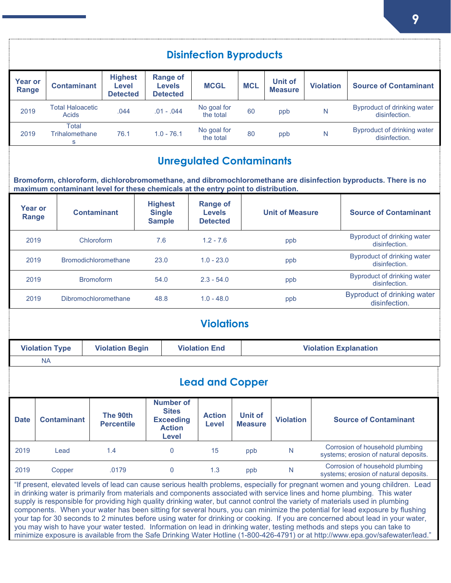<span id="page-8-3"></span><span id="page-8-2"></span><span id="page-8-1"></span><span id="page-8-0"></span>

| <b>Disinfection Byproducts</b> |                                                                                                                                                                                                                                                                                                                                                                                                                                                                                                                                                                                                                                                                                                                                                                                                                                                                                                                              |                                                                         |                                                                                   |                                                                                       |                                                                                                         |                               |                                  |                        |                           |                                                     |                                                                                                                |
|--------------------------------|------------------------------------------------------------------------------------------------------------------------------------------------------------------------------------------------------------------------------------------------------------------------------------------------------------------------------------------------------------------------------------------------------------------------------------------------------------------------------------------------------------------------------------------------------------------------------------------------------------------------------------------------------------------------------------------------------------------------------------------------------------------------------------------------------------------------------------------------------------------------------------------------------------------------------|-------------------------------------------------------------------------|-----------------------------------------------------------------------------------|---------------------------------------------------------------------------------------|---------------------------------------------------------------------------------------------------------|-------------------------------|----------------------------------|------------------------|---------------------------|-----------------------------------------------------|----------------------------------------------------------------------------------------------------------------|
| <b>Year or</b><br>Range        |                                                                                                                                                                                                                                                                                                                                                                                                                                                                                                                                                                                                                                                                                                                                                                                                                                                                                                                              | <b>Highest</b><br><b>Contaminant</b><br><b>Level</b><br><b>Detected</b> |                                                                                   |                                                                                       | <b>Range of</b><br><b>Levels</b><br><b>Detected</b>                                                     | <b>MCGL</b>                   | <b>MCL</b>                       |                        | Unit of<br><b>Measure</b> | <b>Violation</b>                                    | <b>Source of Contaminant</b>                                                                                   |
| 2019                           | <b>Total Haloacetic</b><br><b>Acids</b>                                                                                                                                                                                                                                                                                                                                                                                                                                                                                                                                                                                                                                                                                                                                                                                                                                                                                      |                                                                         | .044                                                                              |                                                                                       | $.01 - .044$                                                                                            | No goal for<br>the total      | 60                               |                        | ppb                       | $\mathsf{N}$                                        | Byproduct of drinking water<br>disinfection.                                                                   |
| 2019                           | <b>Total</b><br>Trihalomethane<br>76.1<br>S                                                                                                                                                                                                                                                                                                                                                                                                                                                                                                                                                                                                                                                                                                                                                                                                                                                                                  |                                                                         |                                                                                   | $1.0 - 76.1$                                                                          | No goal for<br>the total                                                                                | 80                            |                                  | ppb                    | $\mathsf{N}$              | Byproduct of drinking water<br>disinfection.        |                                                                                                                |
|                                | <b>Unregulated Contaminants</b>                                                                                                                                                                                                                                                                                                                                                                                                                                                                                                                                                                                                                                                                                                                                                                                                                                                                                              |                                                                         |                                                                                   |                                                                                       |                                                                                                         |                               |                                  |                        |                           |                                                     |                                                                                                                |
|                                |                                                                                                                                                                                                                                                                                                                                                                                                                                                                                                                                                                                                                                                                                                                                                                                                                                                                                                                              |                                                                         | maximum contaminant level for these chemicals at the entry point to distribution. |                                                                                       |                                                                                                         |                               |                                  |                        |                           |                                                     | Bromoform, chloroform, dichlorobromomethane, and dibromochloromethane are disinfection byproducts. There is no |
| <b>Year or</b><br>Range        |                                                                                                                                                                                                                                                                                                                                                                                                                                                                                                                                                                                                                                                                                                                                                                                                                                                                                                                              |                                                                         | <b>Contaminant</b>                                                                |                                                                                       | <b>Highest</b><br><b>Range of</b><br><b>Single</b><br><b>Levels</b><br><b>Sample</b><br><b>Detected</b> |                               |                                  | <b>Unit of Measure</b> |                           |                                                     | <b>Source of Contaminant</b>                                                                                   |
| 2019                           |                                                                                                                                                                                                                                                                                                                                                                                                                                                                                                                                                                                                                                                                                                                                                                                                                                                                                                                              |                                                                         | Chloroform                                                                        |                                                                                       | 7.6<br>$1.2 - 7.6$                                                                                      |                               |                                  |                        | ppb                       |                                                     | Byproduct of drinking water<br>disinfection.                                                                   |
| 2019                           |                                                                                                                                                                                                                                                                                                                                                                                                                                                                                                                                                                                                                                                                                                                                                                                                                                                                                                                              |                                                                         | <b>Bromodichloromethane</b>                                                       |                                                                                       | 23.0                                                                                                    | $1.0 - 23.0$                  |                                  | ppb                    |                           |                                                     | Byproduct of drinking water<br>disinfection.                                                                   |
|                                | 2019<br><b>Bromoform</b>                                                                                                                                                                                                                                                                                                                                                                                                                                                                                                                                                                                                                                                                                                                                                                                                                                                                                                     |                                                                         |                                                                                   | 54.0                                                                                  | $2.3 - 54.0$                                                                                            |                               | ppb                              |                        |                           | <b>Byproduct of drinking water</b><br>disinfection. |                                                                                                                |
| 2019                           |                                                                                                                                                                                                                                                                                                                                                                                                                                                                                                                                                                                                                                                                                                                                                                                                                                                                                                                              |                                                                         | Dibromochloromethane                                                              |                                                                                       | 48.8                                                                                                    | $1.0 - 48.0$                  |                                  | ppb                    |                           |                                                     | <b>Byproduct of drinking water</b><br>disinfection.                                                            |
|                                |                                                                                                                                                                                                                                                                                                                                                                                                                                                                                                                                                                                                                                                                                                                                                                                                                                                                                                                              |                                                                         |                                                                                   |                                                                                       |                                                                                                         | <b>Violations</b>             |                                  |                        |                           |                                                     |                                                                                                                |
|                                |                                                                                                                                                                                                                                                                                                                                                                                                                                                                                                                                                                                                                                                                                                                                                                                                                                                                                                                              | <b>Violation Type</b>                                                   | <b>Violation Begin</b>                                                            |                                                                                       |                                                                                                         | <b>Violation End</b>          |                                  |                        |                           | <b>Violation Explanation</b>                        |                                                                                                                |
|                                | <b>NA</b>                                                                                                                                                                                                                                                                                                                                                                                                                                                                                                                                                                                                                                                                                                                                                                                                                                                                                                                    |                                                                         |                                                                                   |                                                                                       |                                                                                                         |                               |                                  |                        |                           |                                                     |                                                                                                                |
|                                |                                                                                                                                                                                                                                                                                                                                                                                                                                                                                                                                                                                                                                                                                                                                                                                                                                                                                                                              |                                                                         |                                                                                   |                                                                                       |                                                                                                         | <b>Lead and Copper</b>        |                                  |                        |                           |                                                     |                                                                                                                |
| <b>Date</b>                    | <b>Contaminant</b>                                                                                                                                                                                                                                                                                                                                                                                                                                                                                                                                                                                                                                                                                                                                                                                                                                                                                                           |                                                                         | The 90th<br><b>Percentile</b>                                                     | <b>Number of</b><br><b>Sites</b><br><b>Exceeding</b><br><b>Action</b><br><b>Level</b> |                                                                                                         | <b>Action</b><br><b>Level</b> | <b>Unit of</b><br><b>Measure</b> |                        | <b>Violation</b>          |                                                     | <b>Source of Contaminant</b>                                                                                   |
| 2019                           |                                                                                                                                                                                                                                                                                                                                                                                                                                                                                                                                                                                                                                                                                                                                                                                                                                                                                                                              | Lead                                                                    | 1.4                                                                               | 0                                                                                     |                                                                                                         | 15                            |                                  | $\mathsf{N}$<br>ppb    |                           |                                                     | Corrosion of household plumbing<br>systems; erosion of natural deposits.                                       |
| 2019                           |                                                                                                                                                                                                                                                                                                                                                                                                                                                                                                                                                                                                                                                                                                                                                                                                                                                                                                                              | Copper                                                                  | .0179                                                                             |                                                                                       | 0                                                                                                       | 1.3                           | ppb                              |                        | $\mathsf{N}$              |                                                     | Corrosion of household plumbing<br>systems; erosion of natural deposits.                                       |
|                                | "If present, elevated levels of lead can cause serious health problems, especially for pregnant women and young children. Lead<br>in drinking water is primarily from materials and components associated with service lines and home plumbing. This water<br>supply is responsible for providing high quality drinking water, but cannot control the variety of materials used in plumbing<br>components. When your water has been sitting for several hours, you can minimize the potential for lead exposure by flushing<br>your tap for 30 seconds to 2 minutes before using water for drinking or cooking. If you are concerned about lead in your water,<br>you may wish to have your water tested. Information on lead in drinking water, testing methods and steps you can take to<br>minimize exposure is available from the Safe Drinking Water Hotline (1-800-426-4791) or at http://www.epa.gov/safewater/lead." |                                                                         |                                                                                   |                                                                                       |                                                                                                         |                               |                                  |                        |                           |                                                     |                                                                                                                |

**9**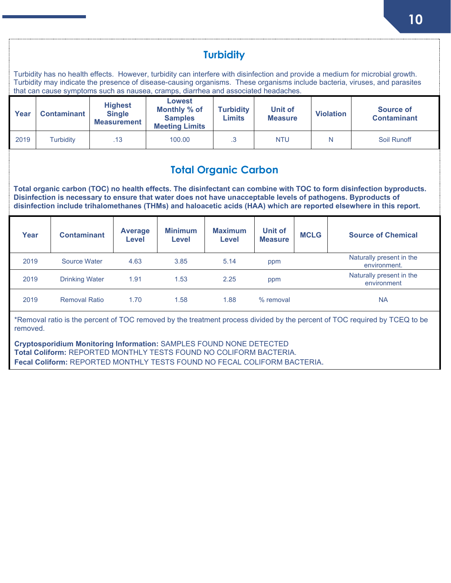<span id="page-9-1"></span><span id="page-9-0"></span>

| <b>Turbidity</b><br>Turbidity has no health effects. However, turbidity can interfere with disinfection and provide a medium for microbial growth.<br>Turbidity may indicate the presence of disease-causing organisms. These organisms include bacteria, viruses, and parasites<br>that can cause symptoms such as nausea, cramps, diarrhea and associated headaches. |                                                                                                                                                                                                                                                                                                                                                                                            |                     |                         |                                                       |                                                                          |                                   |                           |                                                                                  |   |                                          |  |
|------------------------------------------------------------------------------------------------------------------------------------------------------------------------------------------------------------------------------------------------------------------------------------------------------------------------------------------------------------------------|--------------------------------------------------------------------------------------------------------------------------------------------------------------------------------------------------------------------------------------------------------------------------------------------------------------------------------------------------------------------------------------------|---------------------|-------------------------|-------------------------------------------------------|--------------------------------------------------------------------------|-----------------------------------|---------------------------|----------------------------------------------------------------------------------|---|------------------------------------------|--|
| Year                                                                                                                                                                                                                                                                                                                                                                   |                                                                                                                                                                                                                                                                                                                                                                                            | <b>Contaminant</b>  |                         | <b>Highest</b><br><b>Single</b><br><b>Measurement</b> | <b>Lowest</b><br>Monthly % of<br><b>Samples</b><br><b>Meeting Limits</b> | <b>Turbidity</b><br><b>Limits</b> |                           | Unit of<br>Source of<br><b>Violation</b><br><b>Contaminant</b><br><b>Measure</b> |   |                                          |  |
| 2019                                                                                                                                                                                                                                                                                                                                                                   |                                                                                                                                                                                                                                                                                                                                                                                            | <b>Turbidity</b>    |                         | .13                                                   | 100.00                                                                   | $.3\phantom{0}$                   | <b>NTU</b>                |                                                                                  | N | Soil Runoff                              |  |
|                                                                                                                                                                                                                                                                                                                                                                        | <b>Total Organic Carbon</b><br>Total organic carbon (TOC) no health effects. The disinfectant can combine with TOC to form disinfection byproducts.<br>Disinfection is necessary to ensure that water does not have unacceptable levels of pathogens. Byproducts of<br>disinfection include trihalomethanes (THMs) and haloacetic acids (HAA) which are reported elsewhere in this report. |                     |                         |                                                       |                                                                          |                                   |                           |                                                                                  |   |                                          |  |
| Year                                                                                                                                                                                                                                                                                                                                                                   |                                                                                                                                                                                                                                                                                                                                                                                            | <b>Contaminant</b>  | <b>Average</b><br>Level |                                                       | <b>Minimum</b><br><b>Level</b>                                           | <b>Maximum</b><br><b>Level</b>    | Unit of<br><b>Measure</b> | <b>MCLG</b>                                                                      |   | <b>Source of Chemical</b>                |  |
| 2019                                                                                                                                                                                                                                                                                                                                                                   |                                                                                                                                                                                                                                                                                                                                                                                            | <b>Source Water</b> |                         | 4.63                                                  | 3.85                                                                     | 5.14                              | ppm                       |                                                                                  |   | Naturally present in the<br>environment. |  |
|                                                                                                                                                                                                                                                                                                                                                                        | Naturally present in the<br>1.91<br>1.53<br>2.25<br>2019<br><b>Drinking Water</b><br>ppm<br>environment                                                                                                                                                                                                                                                                                    |                     |                         |                                                       |                                                                          |                                   |                           |                                                                                  |   |                                          |  |
| 2019<br><b>Removal Ratio</b><br>1.70<br>1.58<br>1.88<br>% removal<br><b>NA</b>                                                                                                                                                                                                                                                                                         |                                                                                                                                                                                                                                                                                                                                                                                            |                     |                         |                                                       |                                                                          |                                   |                           |                                                                                  |   |                                          |  |
| *Removal ratio is the percent of TOC removed by the treatment process divided by the percent of TOC required by TCEQ to be<br>removed.                                                                                                                                                                                                                                 |                                                                                                                                                                                                                                                                                                                                                                                            |                     |                         |                                                       |                                                                          |                                   |                           |                                                                                  |   |                                          |  |
|                                                                                                                                                                                                                                                                                                                                                                        | <b>Cryptosporidium Monitoring Information: SAMPLES FOUND NONE DETECTED</b><br>Total Coliform: REPORTED MONTHLY TESTS FOUND NO COLIFORM BACTERIA.<br>Fecal Coliform: REPORTED MONTHLY TESTS FOUND NO FECAL COLIFORM BACTERIA.                                                                                                                                                               |                     |                         |                                                       |                                                                          |                                   |                           |                                                                                  |   |                                          |  |

**10**